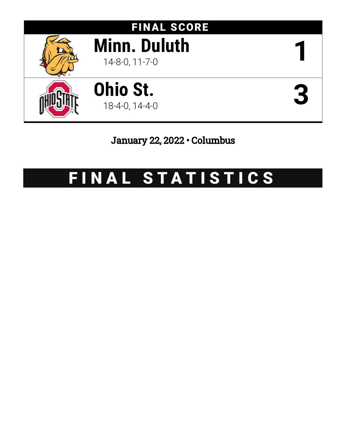

# January 22, 2022 • Columbus

# FINAL STATISTICS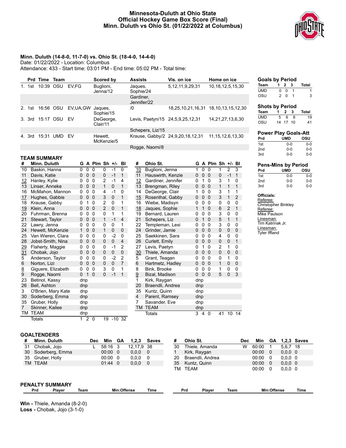#### **Minnesota-Duluth at Ohio State Official Hockey Game Box Score (Final) Minn. Duluth vs Ohio St. (01/22/2022 at Columbus)**



#### **Minn. Duluth (14-8-0, 11-7-0) vs. Ohio St. (18-4-0, 14-4-0)**

Date: 01/22/2022 - Location: Columbus

22 Lawry, Jenna 0 0 0 0 0 1 24 Hewett, McKenzie 1 0 0 1 0 0<br>25 Van Wieren, Clara 0 0 0 0 -2 0

28 Jobst-Smith, Nina 0 0 0 0 0 4  $\frac{29}{31}$  Flaherty, Maggie  $\begin{array}{cccc} 0 & 0 & 0 & 0 & -1 & 2 \\ 0 & 0 & 0 & 0 & 0 & 0 \end{array}$ 

 Anderson, Taylor 0 0 0 0 -2 2 Norton, Lizi 0 0 0 0 0 7 8 Giguere, Elizabeth 0 0 0 0 3 0 1 Rogge, Naomi 0 1 0 0 -1 1

Totals 1 2 0 19 -10 32

Attendance: 433 - Start time: 03:01 PM - End time: 05:02 PM - Total time:

|    |        | Prd Time Team       |                 |            |   |                | Scored by             |                |              |              | <b>Assists</b>       |                    | Vis. on ice                           |   |              | Home on ice       |   |                |                        |
|----|--------|---------------------|-----------------|------------|---|----------------|-----------------------|----------------|--------------|--------------|----------------------|--------------------|---------------------------------------|---|--------------|-------------------|---|----------------|------------------------|
|    | 1. 1st | 10:39 OSU           |                 | EV,FG      |   |                | Buglioni,<br>Jenna/12 |                |              |              | Jaques,<br>Sophie/24 |                    | 5, 12, 11, 9, 29, 31                  |   |              |                   |   |                | 10, 18, 12, 5, 15, 30  |
|    |        |                     |                 |            |   |                |                       |                |              |              | Gardiner,            | Jennifer/22        |                                       |   |              |                   |   |                |                        |
| 2. | 1st    | 16:56 OSU           |                 | EV, UA, GW |   |                | Jaques,<br>Sophie/15  |                |              |              | /0                   |                    | 18,25,10,21,16,31                     |   |              |                   |   |                | 18, 10, 13, 15, 12, 30 |
|    | 3. 3rd | 15:17 OSU           |                 | EV         |   |                | DeGeorge,<br>Clair/11 |                |              |              |                      |                    | Levis, Paetyn/15 24, 5, 9, 25, 12, 31 |   |              |                   |   |                | 14,21,27,13,6,30       |
|    |        |                     |                 |            |   |                |                       |                |              |              |                      | Schepers, Liz/15   |                                       |   |              |                   |   |                |                        |
| 4. | 3rd    | 15:31 UMD           |                 | EV         |   |                | Hewett.<br>McKenzie/5 |                |              |              |                      |                    | Krause, Gabby/2 24,9,20,18,12,31      |   |              |                   |   |                | 11, 15, 12, 6, 13, 30  |
|    |        |                     |                 |            |   |                |                       |                |              |              |                      | Rogge, Naomi/8     |                                       |   |              |                   |   |                |                        |
|    |        |                     |                 |            |   |                |                       |                |              |              |                      |                    |                                       |   |              |                   |   |                |                        |
|    |        | <b>TEAM SUMMARY</b> |                 |            |   |                |                       |                |              |              |                      |                    |                                       |   |              |                   |   |                |                        |
| #  |        | Minn. Duluth        |                 |            |   |                | G A Plm Sh +/- Bl     |                |              |              | #                    | Ohio St.           |                                       |   |              | G A Plm Sh +/- Bl |   |                |                        |
| 10 |        | Baskin, Hanna       |                 |            | 0 | 0              | $\Omega$              | 0              | $-1$         | $\mathbf{0}$ | 10                   | Buglioni, Jenna    |                                       | 1 | $\mathbf{0}$ | $\mathbf{0}$      | 1 | $\overline{2}$ | 3                      |
| 11 |        | Davis, Katie        |                 |            | 0 | 0 <sub>0</sub> |                       | $\mathbf{0}$   | $-1$         | $\mathbf{1}$ | 11                   | Hauswirth, Kenzie  |                                       | 0 | $\Omega$     | $\Omega$          | 0 | $-1$           | $\mathbf{1}$           |
| 12 |        | Hanley, Kylie       |                 |            | 0 | 0              | $\Omega$              | $\overline{2}$ | $-1$         | 4            | 12                   | Gardiner, Jennifer |                                       | 0 | 1            | $\Omega$          | 3 | 1              | 0                      |
| 13 |        | Linser, Anneke      |                 |            | 0 | 0 <sub>0</sub> |                       | $\mathbf{1}$   | $\mathbf{0}$ | 1            | 13                   | Brengman, Riley    |                                       | 0 | $\mathbf 0$  | $\overline{0}$    | 1 | 1              | $\mathbf{1}$           |
| 16 |        |                     | McMahon, Mannon |            | 0 | 0              | 0                     | 4              | $-1$         | 0            | 14                   | DeGeorge, Clair    |                                       | 1 | $\Omega$     | $\mathbf{0}$      | 3 | 1              | 1                      |
| 17 |        | Hughes, Gabbie      |                 |            | 0 | 0 <sub>0</sub> |                       | 3              | $\mathbf{0}$ | 1            | 15                   | Rosenthal, Gabby   |                                       | 0 | $\mathbf{0}$ | $\Omega$          | 3 | 1              | $\overline{2}$         |
| 18 |        | Krause, Gabby       |                 |            | 0 | 1              | 0                     | 2              | 0            | 1            | 16                   | Wiebe, Madisyn     |                                       | 0 | 0            | $\Omega$          | 0 | 0              | 0                      |
| 19 |        | Klein, Anna         |                 |            | 0 | 0 <sub>0</sub> |                       | 2              | $\mathbf 0$  | 1            | 18                   | Jaques, Sophie     |                                       | 1 | 1            | $\Omega$          | 6 | $\overline{2}$ | $\mathbf{1}$           |
| 20 |        |                     | Fuhrman, Brenna |            | 0 | 0              | 0                     | 0              | 1            | 1            | 19                   | Bernard, Lauren    |                                       | 0 | 0            | $\Omega$          | 3 | 0              | 0                      |
| 21 |        | Stewart, Taylor     |                 |            | 0 | $\mathbf 0$    | $\Omega$              | 1              | $-1$         | 4            | 21                   | Schepers, Liz      |                                       | 0 | 1            | $\Omega$          | 5 | 1              | 1                      |

| <b>Goals by Period</b> |    |          |  |              |
|------------------------|----|----------|--|--------------|
| Team                   | 1. | 2 3      |  | <b>Total</b> |
| <b>UMD</b>             | U  | n        |  |              |
| OSU                    | 2  | $\Omega$ |  | 3            |

#### **Shots by Period Team 1 2 3 Total** UMD 5 6 8 19 OSU 14 17 10 41

| <b>Power Play Goals-Att</b> |         |         |  |  |  |  |  |  |  |
|-----------------------------|---------|---------|--|--|--|--|--|--|--|
| Prd                         | UMD     | osu     |  |  |  |  |  |  |  |
| 1st                         | $0 - 0$ | $0 - 0$ |  |  |  |  |  |  |  |
| 2 <sub>nd</sub>             | $0 - 0$ | $0 - 0$ |  |  |  |  |  |  |  |
| 3rd                         | $0 - 0$ | $0 - 0$ |  |  |  |  |  |  |  |

## **Pens-Mins by Period**

| Prd             | UMD     | osu |
|-----------------|---------|-----|
| 1st             | ი-ი     | ი-ი |
| 2 <sub>nd</sub> | ი-ი     | ი-ი |
| 3rd             | $0 - 0$ | ი-ი |

#### **Officials:**

Referee: Christopher Binkley Referee: Mike Paulson Linesman: Tim Katrinak Jr. Linesman: Tyler Iffland

#### **GOALTENDERS**

25 Van Wieren, Clara

23 Betinol, Kassy dnp 26 Bell, Ashton dnp 3 O'Brien, Mary Kate dnp 30 Soderberg, Emma dnp<br>35 Gruber, Holly dnp 35 Gruber, Holly dnp<br>7 Skinner, Kailee dnp Skinner, Kailee TM TEAM dnp

31 Chobak, Jojo

| #  | Minn. Duluth         | Dec  | Min             | GA          | 1,2,3      | <b>Saves</b> | #  | Ohio St.         | Dec  | Min   | GА          |          | $1,2,3$ Saves |
|----|----------------------|------|-----------------|-------------|------------|--------------|----|------------------|------|-------|-------------|----------|---------------|
| 31 | Chobak, Jojo         |      | 58:16 3         |             | 12,17,9 38 |              | 30 | Thiele, Amanda   | W    | 60:00 |             | 5,6,7 18 |               |
| 30 | Soderberg, Emma      |      | $00:00 \quad 0$ |             | 0,0,0      | 0            |    | Kirk, Raygan     |      | 00:00 | - 0         | 0,0,0,0  |               |
| 35 | Gruber, Holly        |      | $00:00 \quad 0$ |             | 0,0,0      | - 0          | 20 | Braendli, Andrea |      | 00:00 | - 0         | 0.0.0 0  |               |
|    | TM TEAM              |      | $01:44$ 0       |             | 0,0,0      | 0            | 35 | Kuntz, Quinn     |      | 00:00 | - 0         | 0,0,0,0  |               |
|    |                      |      |                 |             |            |              | TM | TEAM             |      | 00:00 | - 0         | 0,0,0,0  |               |
|    |                      |      |                 |             |            |              |    |                  |      |       |             |          |               |
|    |                      |      |                 |             |            |              |    |                  |      |       |             |          |               |
|    | PENALTY SUMMARY      |      |                 |             |            |              |    |                  |      |       |             |          |               |
|    | Prd<br><b>Plaver</b> | Team |                 | Min:Offense |            | Time         |    | Prd<br>Plaver    | Team |       | Min:Offense |          | Time          |

22 Templeman, Lexi 0 0 0 3 0 0 24 Grinder, Jamie 0 0 0 0 0 0

26 Curlett, Emily 0 0 0 0 0 1<br>27 Levis. Paetvn 0 1 0 2 1 0 27 Levis, Paetyn 0 1 0 2 1 0<br>30 Thiele, Amanda 0 0 0 0 0 0 Thiele, Amanda 0 0 0 0 0 0 Grant, Teagan 0 0 0 0 1 0 Hartmetz, Hadley 0 0 0 1 0 0 Bink, Brooke 0 0 0 1 0 0 Bizal, Madison 0 0 0 5 0 3

Totals 3 4 0 41 10 14

Saekkinen, Sara

1 Kirk, Raygan dnp<br>20 Braendli, Andrea dnp Braendli, Andrea 35 Kuntz, Quinn dnp 4 Parent, Ramsey dnp<br>7 Savander. Eve dnp Savander, Eve dnp TM TEAM dnp

**Win -** Thiele, Amanda (8-2-0) **Loss -** Chobak, Jojo (3-1-0)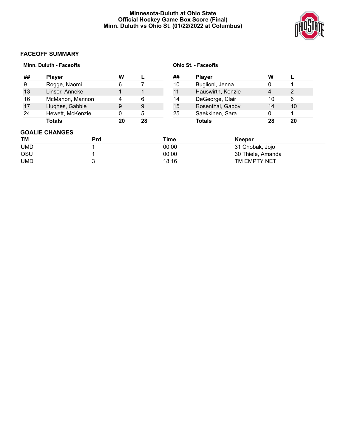#### **Minnesota-Duluth at Ohio State Official Hockey Game Box Score (Final) Minn. Duluth vs Ohio St. (01/22/2022 at Columbus)**



### **FACEOFF SUMMARY**

|                 | Minn. Duluth - Faceoffs |    |       | <b>Ohio St. - Faceoffs</b> |                   |                 |    |  |  |
|-----------------|-------------------------|----|-------|----------------------------|-------------------|-----------------|----|--|--|
| ##              | <b>Player</b>           | W  | L     | ##                         | <b>Player</b>     | W               |    |  |  |
| 9               | Rogge, Naomi            | 6  |       | 10                         | Buglioni, Jenna   | 0               |    |  |  |
| 13              | Linser, Anneke          |    | 1     | 11                         | Hauswirth, Kenzie | 4               | 2  |  |  |
| 16              | McMahon, Mannon         | 4  | 6     | 14                         | DeGeorge, Clair   | 10              | 6  |  |  |
| 17              | Hughes, Gabbie          | 9  | 9     | 15                         | Rosenthal, Gabby  | 14              | 10 |  |  |
| 24              | Hewett, McKenzie        | 0  | 5     | 25                         | Saekkinen, Sara   | 0               |    |  |  |
|                 | <b>Totals</b>           | 20 | 28    |                            | <b>Totals</b>     | 28              | 20 |  |  |
|                 | <b>GOALIE CHANGES</b>   |    |       |                            |                   |                 |    |  |  |
| ΤM              | <b>Prd</b>              |    |       | Time                       | Keeper            |                 |    |  |  |
| <b>UMD</b>      |                         |    |       | 00:00                      |                   | 31 Chobak, Jojo |    |  |  |
| <b>OSU</b>      |                         |    | 00:00 |                            | 30 Thiele, Amanda |                 |    |  |  |
| <b>UMD</b><br>3 |                         |    |       | 18:16                      | TM EMPTY NET      |                 |    |  |  |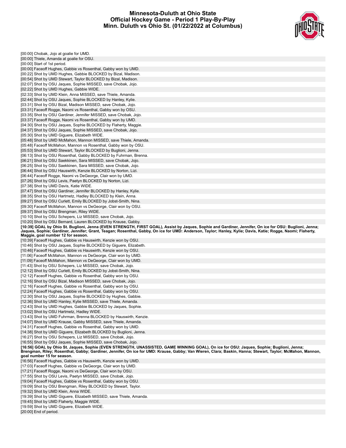#### **Minnesota-Duluth at Ohio State Official Hockey Game - Period 1 Play-By-Play Minn. Duluth vs Ohio St. (01/22/2022 at Columbus)**



| [00:00] Chobak, Jojo at goalie for UMD.                                                                                                                                                                   |  |
|-----------------------------------------------------------------------------------------------------------------------------------------------------------------------------------------------------------|--|
| [00:00] Thiele, Amanda at goalie for OSU.                                                                                                                                                                 |  |
| [00:00] Start of 1st period.                                                                                                                                                                              |  |
| [00:00] Faceoff Hughes, Gabbie vs Rosenthal, Gabby won by UMD.                                                                                                                                            |  |
| [00:22] Shot by UMD Hughes, Gabbie BLOCKED by Bizal, Madison.                                                                                                                                             |  |
| [00:54] Shot by UMD Stewart, Taylor BLOCKED by Bizal, Madison.                                                                                                                                            |  |
| [02:07] Shot by OSU Jaques, Sophie MISSED, save Chobak, Jojo.                                                                                                                                             |  |
| [02:22] Shot by UMD Hughes, Gabbie WIDE.                                                                                                                                                                  |  |
| [02:33] Shot by UMD Klein, Anna MISSED, save Thiele, Amanda.                                                                                                                                              |  |
| [02:44] Shot by OSU Jaques, Sophie BLOCKED by Hanley, Kylie.                                                                                                                                              |  |
| [03:31] Shot by OSU Bizal, Madison MISSED, save Chobak, Jojo.                                                                                                                                             |  |
| [03:31] Faceoff Rogge, Naomi vs Rosenthal, Gabby won by OSU.                                                                                                                                              |  |
| [03:35] Shot by OSU Gardiner, Jennifer MISSED, save Chobak, Jojo.<br>[03:37] Faceoff Rogge, Naomi vs Rosenthal, Gabby won by UMD.                                                                         |  |
| [04:30] Shot by OSU Jaques, Sophie BLOCKED by Flaherty, Maggie.                                                                                                                                           |  |
| [04:37] Shot by OSU Jaques, Sophie MISSED, save Chobak, Jojo.                                                                                                                                             |  |
| [05:30] Shot by UMD Giguere, Elizabeth WIDE.                                                                                                                                                              |  |
| [05:48] Shot by UMD McMahon, Mannon MISSED, save Thiele, Amanda.                                                                                                                                          |  |
| [05:48] Faceoff McMahon, Mannon vs Rosenthal, Gabby won by OSU.                                                                                                                                           |  |
| [05:53] Shot by UMD Stewart, Taylor BLOCKED by Buglioni, Jenna.                                                                                                                                           |  |
| [06:13] Shot by OSU Rosenthal, Gabby BLOCKED by Fuhrman, Brenna.                                                                                                                                          |  |
| [06:21] Shot by OSU Saekkinen, Sara MISSED, save Chobak, Jojo.                                                                                                                                            |  |
| [06:25] Shot by OSU Saekkinen, Sara MISSED, save Chobak, Jojo.                                                                                                                                            |  |
| [06:44] Shot by OSU Hauswirth, Kenzie BLOCKED by Norton, Lizi.                                                                                                                                            |  |
| [06:44] Faceoff Rogge, Naomi vs DeGeorge, Clair won by UMD.                                                                                                                                               |  |
| [07:26] Shot by OSU Levis, Paetyn BLOCKED by Norton, Lizi.                                                                                                                                                |  |
| [07:38] Shot by UMD Davis, Katie WIDE.                                                                                                                                                                    |  |
| [07:47] Shot by OSU Gardiner, Jennifer BLOCKED by Hanley, Kylie.                                                                                                                                          |  |
| [08:35] Shot by OSU Hartmetz, Hadley BLOCKED by Klein, Anna.                                                                                                                                              |  |
| [09:27] Shot by OSU Curlett, Emily BLOCKED by Jobst-Smith, Nina.                                                                                                                                          |  |
| [09:30] Faceoff McMahon, Mannon vs DeGeorge, Clair won by OSU.                                                                                                                                            |  |
| [09:37] Shot by OSU Brengman, Riley WIDE.                                                                                                                                                                 |  |
| [10:10] Shot by OSU Schepers, Liz MISSED, save Chobak, Jojo.                                                                                                                                              |  |
| [10:20] Shot by OSU Bernard, Lauren BLOCKED by Krause, Gabby.                                                                                                                                             |  |
| [10:39] GOAL by Ohio St. Buglioni, Jenna (EVEN STRENGTH, FIRST GOAL), Assist by Jaques, Sophie and Gardiner, Jennifer, On ice for OSU: Buglioni, Jenna;                                                   |  |
|                                                                                                                                                                                                           |  |
| Jaques, Sophie; Gardiner, Jennifer; Grant, Teagan; Rosenthal, Gabby, On ice for UMD: Anderson, Taylor; Hanley, Kylie; Davis, Katie; Rogge, Naomi; Flaherty,                                               |  |
|                                                                                                                                                                                                           |  |
| Maggie, goal number 12 for season.<br>[10:39] Faceoff Hughes, Gabbie vs Hauswirth, Kenzie won by OSU.<br>[10:46] Shot by OSU Jaques, Sophie BLOCKED by Giguere, Elizabeth.                                |  |
| [10:46] Faceoff Hughes, Gabbie vs Hauswirth, Kenzie won by OSU.                                                                                                                                           |  |
|                                                                                                                                                                                                           |  |
| [11:06] Faceoff McMahon, Mannon vs DeGeorge, Clair won by UMD.<br>[11:09] Faceoff McMahon, Mannon vs DeGeorge, Clair won by UMD.                                                                          |  |
| [11:43] Shot by OSU Schepers, Liz MISSED, save Chobak, Jojo.                                                                                                                                              |  |
| [12:12] Shot by OSU Curlett, Emily BLOCKED by Jobst-Smith, Nina.                                                                                                                                          |  |
| [12:12] Faceoff Hughes, Gabbie vs Rosenthal, Gabby won by OSU.                                                                                                                                            |  |
| [12:16] Shot by OSU Bizal, Madison MISSED, save Chobak, Jojo.                                                                                                                                             |  |
| [12:16] Faceoff Hughes, Gabbie vs Rosenthal, Gabby won by OSU.                                                                                                                                            |  |
| [12:24] Faceoff Hughes, Gabbie vs Rosenthal, Gabby won by OSU.                                                                                                                                            |  |
|                                                                                                                                                                                                           |  |
| [12:36] Shot by UMD Hanley, Kylie MISSED, save Thiele, Amanda.                                                                                                                                            |  |
| [12:43] Shot by UMD Hughes, Gabbie BLOCKED by Jaques, Sophie.                                                                                                                                             |  |
| [13:02] Shot by OSU Hartmetz, Hadley WIDE.                                                                                                                                                                |  |
| [13:43] Shot by UMD Fuhrman, Brenna BLOCKED by Hauswirth, Kenzie.                                                                                                                                         |  |
| [12:30] Shot by OSU Jaques, Sophie BLOCKED by Hughes, Gabbie.<br>[14:07] Shot by UMD Krause, Gabby MISSED, save Thiele, Amanda.                                                                           |  |
| [14:31] Faceoff Hughes, Gabbie vs Rosenthal, Gabby won by UMD.                                                                                                                                            |  |
| [14:38] Shot by UMD Giguere, Elizabeth BLOCKED by Buglioni, Jenna.                                                                                                                                        |  |
| [16:27] Shot by OSU Schepers, Liz MISSED, save Chobak, Jojo.                                                                                                                                              |  |
| [16:55] Shot by OSU Jaques, Sophie MISSED, save Chobak, Jojo.<br>[16:56] GOAL by Ohio St. Jaques, Sophie (EVEN STRENGTH, UNASSISTED, GAME WINNING GOAL), On ice for OSU: Jaques, Sophie; Buglioni, Jenna; |  |
| Brengman, Riley; Rosenthal, Gabby; Gardiner, Jennifer, On ice for UMD: Krause, Gabby; Van Wieren, Clara; Baskin, Hanna; Stewart, Taylor; McMahon, Mannon,                                                 |  |
| goal number 15 for season.                                                                                                                                                                                |  |
| [16:56] Faceoff Hughes, Gabbie vs Hauswirth, Kenzie won by UMD.                                                                                                                                           |  |
| [17:03] Faceoff Hughes, Gabbie vs DeGeorge, Clair won by UMD.                                                                                                                                             |  |
| [17:21] Faceoff Rogge, Naomi vs DeGeorge, Clair won by OSU.                                                                                                                                               |  |
| [17:55] Shot by OSU Levis, Paetyn MISSED, save Chobak, Jojo.                                                                                                                                              |  |
| [19:04] Faceoff Hughes, Gabbie vs Rosenthal, Gabby won by OSU.                                                                                                                                            |  |
| [19:09] Shot by OSU Brengman, Riley BLOCKED by Stewart, Taylor.                                                                                                                                           |  |
| [19:32] Shot by UMD Klein, Anna WIDE.                                                                                                                                                                     |  |
| [19:39] Shot by UMD Giguere, Elizabeth MISSED, save Thiele, Amanda.                                                                                                                                       |  |
| [19:45] Shot by UMD Flaherty, Maggie WIDE.<br>[19:59] Shot by UMD Giguere, Elizabeth WIDE.                                                                                                                |  |

[20:00] End of period.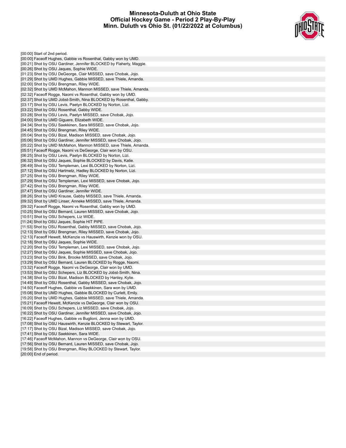#### **Minnesota-Duluth at Ohio State Official Hockey Game - Period 2 Play-By-Play Minn. Duluth vs Ohio St. (01/22/2022 at Columbus)**



[00:00] Start of 2nd period. [00:00] Faceoff Hughes, Gabbie vs Rosenthal, Gabby won by UMD. [00:21] Shot by OSU Gardiner, Jennifer BLOCKED by Flaherty, Maggie. [00:26] Shot by OSU Jaques, Sophie WIDE. [01:23] Shot by OSU DeGeorge, Clair MISSED, save Chobak, Jojo. [01:29] Shot by UMD Hughes, Gabbie MISSED, save Thiele, Amanda. [02:00] Shot by OSU Brengman, Riley WIDE. [02:32] Shot by UMD McMahon, Mannon MISSED, save Thiele, Amanda. [02:32] Faceoff Rogge, Naomi vs Rosenthal, Gabby won by UMD. [02:37] Shot by UMD Jobst-Smith, Nina BLOCKED by Rosenthal, Gabby. [03:17] Shot by OSU Levis, Paetyn BLOCKED by Norton, Lizi. [03:22] Shot by OSU Rosenthal, Gabby WIDE. [03:28] Shot by OSU Levis, Paetyn MISSED, save Chobak, Jojo. [04:00] Shot by UMD Giguere, Elizabeth WIDE. [04:34] Shot by OSU Saekkinen, Sara MISSED, save Chobak, Jojo. [04:45] Shot by OSU Brengman, Riley WIDE. [05:04] Shot by OSU Bizal, Madison MISSED, save Chobak, Jojo. [05:06] Shot by OSU Gardiner, Jennifer MISSED, save Chobak, Jojo. [05:22] Shot by UMD McMahon, Mannon MISSED, save Thiele, Amanda. [05:51] Faceoff Rogge, Naomi vs DeGeorge, Clair won by OSU. [06:25] Shot by OSU Levis, Paetyn BLOCKED by Norton, Lizi. [06:32] Shot by OSU Jaques, Sophie BLOCKED by Davis, Katie. [06:49] Shot by OSU Templeman, Lexi BLOCKED by Norton, Lizi. [07:12] Shot by OSU Hartmetz, Hadley BLOCKED by Norton, Lizi. [07:25] Shot by OSU Brengman, Riley WIDE. [07:29] Shot by OSU Templeman, Lexi MISSED, save Chobak, Jojo. [07:42] Shot by OSU Brengman, Riley WIDE. [07:47] Shot by OSU Gardiner, Jennifer WIDE. [08:26] Shot by UMD Krause, Gabby MISSED, save Thiele, Amanda. [09:32] Shot by UMD Linser, Anneke MISSED, save Thiele, Amanda. [09:32] Faceoff Rogge, Naomi vs Rosenthal, Gabby won by UMD. [10:25] Shot by OSU Bernard, Lauren MISSED, save Chobak, Jojo. [10:51] Shot by OSU Schepers, Liz WIDE. [11:24] Shot by OSU Jaques, Sophie HIT PIPE. [11:53] Shot by OSU Rosenthal, Gabby MISSED, save Chobak, Jojo. [12:13] Shot by OSU Brengman, Riley MISSED, save Chobak, Jojo. [12:13] Faceoff Hewett, McKenzie vs Hauswirth, Kenzie won by OSU. [12:18] Shot by OSU Jaques, Sophie WIDE. [12:20] Shot by OSU Templeman, Lexi MISSED, save Chobak, Jojo. [12:27] Shot by OSU Jaques, Sophie MISSED, save Chobak, Jojo. [13:23] Shot by OSU Bink, Brooke MISSED, save Chobak, Jojo. [13:29] Shot by OSU Bernard, Lauren BLOCKED by Rogge, Naomi. [13:32] Faceoff Rogge, Naomi vs DeGeorge, Clair won by UMD. [13:53] Shot by OSU Schepers, Liz BLOCKED by Jobst-Smith, Nina. [14:38] Shot by OSU Bizal, Madison BLOCKED by Hanley, Kylie. [14:49] Shot by OSU Rosenthal, Gabby MISSED, save Chobak, Jojo. [14:50] Faceoff Hughes, Gabbie vs Saekkinen, Sara won by UMD. [15:08] Shot by UMD Hughes, Gabbie BLOCKED by Curlett, Emily. [15:20] Shot by UMD Hughes, Gabbie MISSED, save Thiele, Amanda. [15:21] Faceoff Hewett, McKenzie vs DeGeorge, Clair won by OSU. [16:09] Shot by OSU Schepers, Liz MISSED, save Chobak, Jojo. [16:22] Shot by OSU Gardiner, Jennifer MISSED, save Chobak, Jojo. [16:22] Faceoff Hughes, Gabbie vs Buglioni, Jenna won by UMD. [17:08] Shot by OSU Hauswirth, Kenzie BLOCKED by Stewart, Taylor. [17:17] Shot by OSU Bizal, Madison MISSED, save Chobak, Jojo. [17:41] Shot by OSU Saekkinen, Sara WIDE. [17:46] Faceoff McMahon, Mannon vs DeGeorge, Clair won by OSU. [17:56] Shot by OSU Bernard, Lauren MISSED, save Chobak, Jojo. [19:58] Shot by OSU Brengman, Riley BLOCKED by Stewart, Taylor. [20:00] End of period.